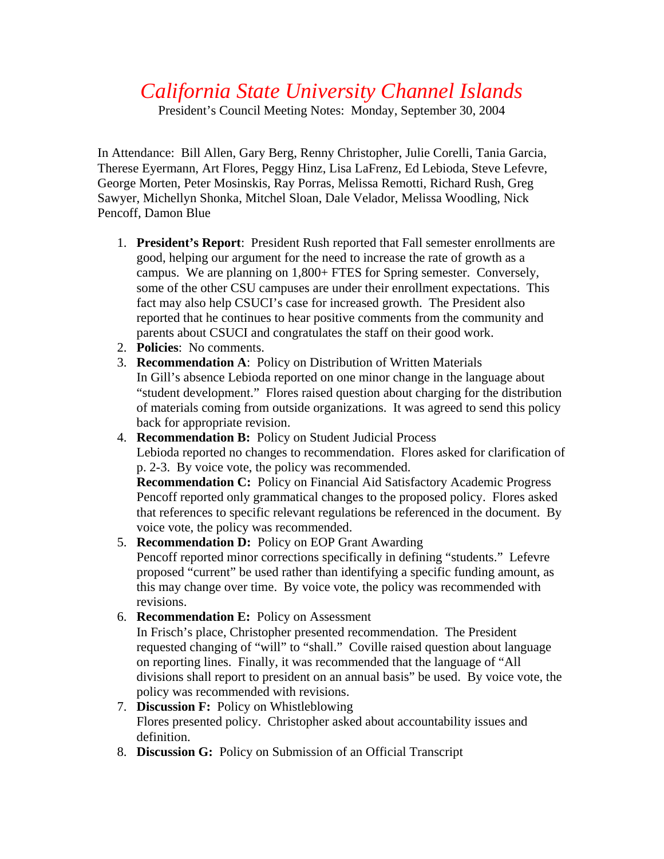## *California State University Channel Islands*

President's Council Meeting Notes: Monday, September 30, 2004

In Attendance: Bill Allen, Gary Berg, Renny Christopher, Julie Corelli, Tania Garcia, Therese Eyermann, Art Flores, Peggy Hinz, Lisa LaFrenz, Ed Lebioda, Steve Lefevre, George Morten, Peter Mosinskis, Ray Porras, Melissa Remotti, Richard Rush, Greg Sawyer, Michellyn Shonka, Mitchel Sloan, Dale Velador, Melissa Woodling, Nick Pencoff, Damon Blue

- 1. **President's Report**: President Rush reported that Fall semester enrollments are good, helping our argument for the need to increase the rate of growth as a campus. We are planning on 1,800+ FTES for Spring semester. Conversely, some of the other CSU campuses are under their enrollment expectations. This fact may also help CSUCI's case for increased growth. The President also reported that he continues to hear positive comments from the community and parents about CSUCI and congratulates the staff on their good work.
- 2. **Policies**: No comments.
- 3. **Recommendation A**: Policy on Distribution of Written Materials In Gill's absence Lebioda reported on one minor change in the language about "student development." Flores raised question about charging for the distribution of materials coming from outside organizations. It was agreed to send this policy back for appropriate revision.
- 4. **Recommendation B:** Policy on Student Judicial Process Lebioda reported no changes to recommendation. Flores asked for clarification of p. 2-3. By voice vote, the policy was recommended.

**Recommendation C:** Policy on Financial Aid Satisfactory Academic Progress Pencoff reported only grammatical changes to the proposed policy. Flores asked that references to specific relevant regulations be referenced in the document. By voice vote, the policy was recommended.

- 5. **Recommendation D:** Policy on EOP Grant Awarding Pencoff reported minor corrections specifically in defining "students." Lefevre proposed "current" be used rather than identifying a specific funding amount, as this may change over time. By voice vote, the policy was recommended with revisions.
- 6. **Recommendation E:** Policy on Assessment

In Frisch's place, Christopher presented recommendation. The President requested changing of "will" to "shall." Coville raised question about language on reporting lines. Finally, it was recommended that the language of "All divisions shall report to president on an annual basis" be used. By voice vote, the policy was recommended with revisions.

- 7. **Discussion F:** Policy on Whistleblowing Flores presented policy. Christopher asked about accountability issues and definition.
- 8. **Discussion G:** Policy on Submission of an Official Transcript